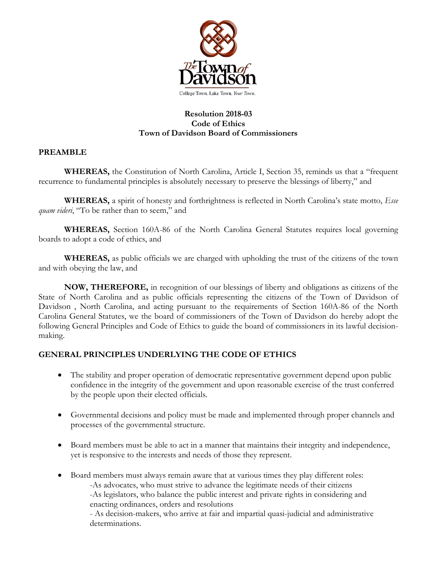

## **Resolution 2018-03 Code of Ethics Town of Davidson Board of Commissioners**

## **PREAMBLE**

**WHEREAS,** the Constitution of North Carolina, Article I, Section 35, reminds us that a "frequent recurrence to fundamental principles is absolutely necessary to preserve the blessings of liberty," and

**WHEREAS,** a spirit of honesty and forthrightness is reflected in North Carolina's state motto, *Esse quam videri*, "To be rather than to seem," and

**WHEREAS,** Section 160A-86 of the North Carolina General Statutes requires local governing boards to adopt a code of ethics, and

**WHEREAS,** as public officials we are charged with upholding the trust of the citizens of the town and with obeying the law, and

**NOW, THEREFORE,** in recognition of our blessings of liberty and obligations as citizens of the State of North Carolina and as public officials representing the citizens of the Town of Davidson of Davidson , North Carolina, and acting pursuant to the requirements of Section 160A-86 of the North Carolina General Statutes, we the board of commissioners of the Town of Davidson do hereby adopt the following General Principles and Code of Ethics to guide the board of commissioners in its lawful decisionmaking.

## **GENERAL PRINCIPLES UNDERLYING THE CODE OF ETHICS**

- The stability and proper operation of democratic representative government depend upon public confidence in the integrity of the government and upon reasonable exercise of the trust conferred by the people upon their elected officials.
- Governmental decisions and policy must be made and implemented through proper channels and processes of the governmental structure.
- Board members must be able to act in a manner that maintains their integrity and independence, yet is responsive to the interests and needs of those they represent.
- Board members must always remain aware that at various times they play different roles: -As advocates, who must strive to advance the legitimate needs of their citizens -As legislators, who balance the public interest and private rights in considering and enacting ordinances, orders and resolutions - As decision-makers, who arrive at fair and impartial quasi-judicial and administrative

determinations.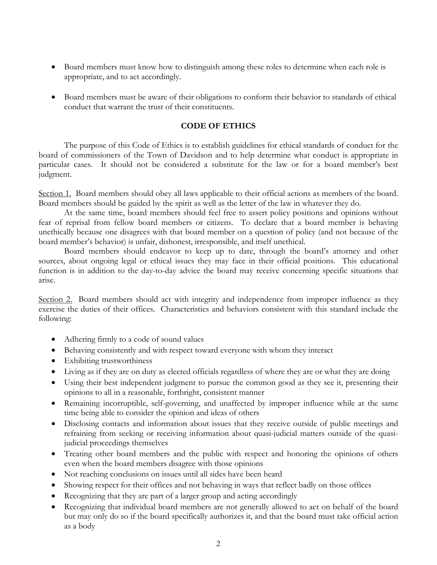- Board members must know how to distinguish among these roles to determine when each role is appropriate, and to act accordingly.
- Board members must be aware of their obligations to conform their behavior to standards of ethical conduct that warrant the trust of their constituents.

## **CODE OF ETHICS**

The purpose of this Code of Ethics is to establish guidelines for ethical standards of conduct for the board of commissioners of the Town of Davidson and to help determine what conduct is appropriate in particular cases. It should not be considered a substitute for the law or for a board member's best judgment.

Section 1. Board members should obey all laws applicable to their official actions as members of the board. Board members should be guided by the spirit as well as the letter of the law in whatever they do.

At the same time, board members should feel free to assert policy positions and opinions without fear of reprisal from fellow board members or citizens. To declare that a board member is behaving unethically because one disagrees with that board member on a question of policy (and not because of the board member's behavior) is unfair, dishonest, irresponsible, and itself unethical.

Board members should endeavor to keep up to date, through the board's attorney and other sources, about ongoing legal or ethical issues they may face in their official positions. This educational function is in addition to the day-to-day advice the board may receive concerning specific situations that arise.

Section 2. Board members should act with integrity and independence from improper influence as they exercise the duties of their offices. Characteristics and behaviors consistent with this standard include the following:

- Adhering firmly to a code of sound values
- Behaving consistently and with respect toward everyone with whom they interact
- Exhibiting trustworthiness
- Living as if they are on duty as elected officials regardless of where they are or what they are doing
- Using their best independent judgment to pursue the common good as they see it, presenting their opinions to all in a reasonable, forthright, consistent manner
- Remaining incorruptible, self-governing, and unaffected by improper influence while at the same time being able to consider the opinion and ideas of others
- Disclosing contacts and information about issues that they receive outside of public meetings and refraining from seeking or receiving information about quasi-judicial matters outside of the quasijudicial proceedings themselves
- Treating other board members and the public with respect and honoring the opinions of others even when the board members disagree with those opinions
- Not reaching conclusions on issues until all sides have been heard
- Showing respect for their offices and not behaving in ways that reflect badly on those offices
- Recognizing that they are part of a larger group and acting accordingly
- Recognizing that individual board members are not generally allowed to act on behalf of the board but may only do so if the board specifically authorizes it, and that the board must take official action as a body